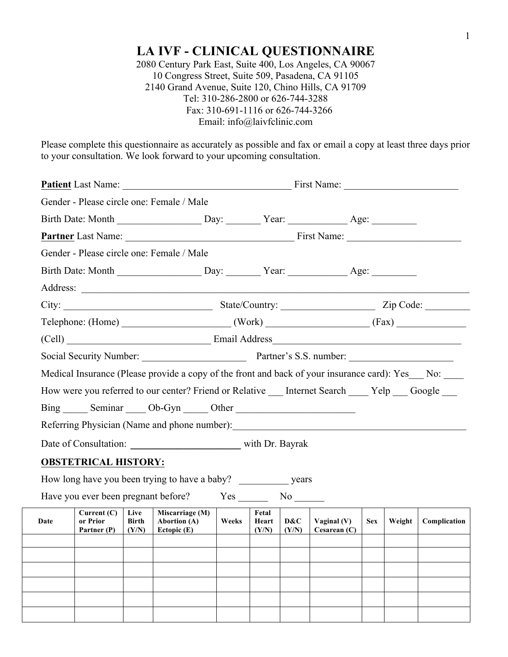# **LA IVF - CLINICAL QUESTIONNAIRE**

2080 Century Park East, Suite 400, Los Angeles, CA 90067 10 Congress Street, Suite 509, Pasadena, CA 91105 2140 Grand Avenue, Suite 120, Chino Hills, CA 91709 Tel: 310-286-2800 or 626-744-3288 Fax: 310-691-1116 or 626-744-3266 Email: info@laivfclinic.com

Please complete this questionnaire as accurately as possible and fax or email a copy at least three days prior to your consultation. We look forward to your upcoming consultation.

| Gender - Please circle one: Female / Male |                                          |                               |                                                                                                      |          |                         |              |                                 |            |        |              |
|-------------------------------------------|------------------------------------------|-------------------------------|------------------------------------------------------------------------------------------------------|----------|-------------------------|--------------|---------------------------------|------------|--------|--------------|
|                                           |                                          |                               |                                                                                                      |          |                         |              |                                 |            |        |              |
|                                           |                                          |                               |                                                                                                      |          |                         |              |                                 |            |        |              |
|                                           |                                          |                               | Gender - Please circle one: Female / Male                                                            |          |                         |              |                                 |            |        |              |
|                                           |                                          |                               |                                                                                                      |          |                         |              |                                 |            |        |              |
|                                           |                                          |                               |                                                                                                      |          |                         |              |                                 |            |        |              |
|                                           |                                          |                               |                                                                                                      |          |                         |              |                                 |            |        |              |
|                                           |                                          |                               | $\text{Telephone: (Home)}$ $\qquad \qquad \qquad \text{(Work)}$ $\qquad \qquad \text{(Fax)}$         |          |                         |              |                                 |            |        |              |
|                                           |                                          |                               |                                                                                                      |          |                         |              |                                 |            |        |              |
|                                           |                                          |                               |                                                                                                      |          |                         |              |                                 |            |        |              |
|                                           |                                          |                               | Medical Insurance (Please provide a copy of the front and back of your insurance card): Yes_ No: ___ |          |                         |              |                                 |            |        |              |
|                                           |                                          |                               | How were you referred to our center? Friend or Relative Internet Search Yelp Google                  |          |                         |              |                                 |            |        |              |
|                                           |                                          |                               | Bing Seminar Ob-Gyn Cher                                                                             |          |                         |              |                                 |            |        |              |
|                                           |                                          |                               |                                                                                                      |          |                         |              |                                 |            |        |              |
|                                           |                                          |                               |                                                                                                      |          |                         |              |                                 |            |        |              |
|                                           | <b>OBSTETRICAL HISTORY:</b>              |                               |                                                                                                      |          |                         |              |                                 |            |        |              |
|                                           |                                          |                               | How long have you been trying to have a baby? years                                                  |          |                         |              |                                 |            |        |              |
|                                           |                                          |                               | Have you ever been pregnant before?                                                                  | $Yes$ No |                         |              |                                 |            |        |              |
| Date                                      | Current $(C)$<br>or Prior<br>Partner (P) | Live<br><b>Birth</b><br>(Y/N) | Miscarriage (M)<br><b>Abortion</b> (A)<br>Ectopic $(E)$                                              | Weeks    | Fetal<br>Heart<br>(Y/N) | D&C<br>(Y/N) | Vaginal $(V)$<br>Cesarean $(C)$ | <b>Sex</b> | Weight | Complication |
|                                           |                                          |                               |                                                                                                      |          |                         |              |                                 |            |        |              |
|                                           |                                          |                               |                                                                                                      |          |                         |              |                                 |            |        |              |
|                                           |                                          |                               |                                                                                                      |          |                         |              |                                 |            |        |              |
|                                           |                                          |                               |                                                                                                      |          |                         |              |                                 |            |        |              |
|                                           |                                          |                               |                                                                                                      |          |                         |              |                                 |            |        |              |
|                                           |                                          |                               |                                                                                                      |          |                         |              |                                 |            |        |              |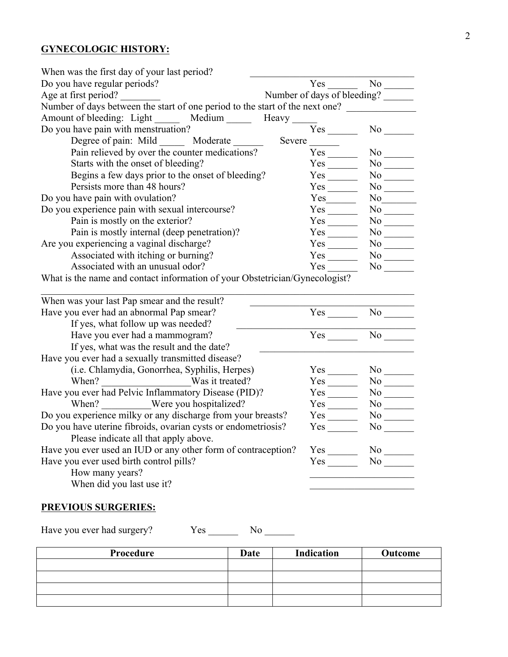#### **GYNECOLOGIC HISTORY:**

| When was the first day of your last period?                                              |                              |                          |
|------------------------------------------------------------------------------------------|------------------------------|--------------------------|
| Do you have regular periods?                                                             | $Yes \t —$                   |                          |
| Age at first period?                                                                     | Number of days of bleeding?  |                          |
| Number of days between the start of one period to the start of the next one?             |                              |                          |
| Amount of bleeding: Light ______ Medium _____ Heavy ____                                 |                              |                          |
| Do you have pain with menstruation?                                                      | $Yes$ <sub>_________</sub>   |                          |
| Degree of pain: Mild _______ Moderate ______                                             | Severe                       |                          |
| Pain relieved by over the counter medications?                                           | $Yes$ <sub>_________</sub>   | $No$ <sub>_____</sub>    |
| Starts with the onset of bleeding?                                                       | $Yes$ <sub>_________</sub>   |                          |
| Begins a few days prior to the onset of bleeding?                                        | $Yes$ <sub>_________</sub>   | $No$ <sub>_______</sub>  |
| Persists more than 48 hours?                                                             | $Yes$ <sub>________</sub>    |                          |
| Do you have pain with ovulation?                                                         | $Yes$ <sub>__________</sub>  |                          |
| Do you experience pain with sexual intercourse?                                          | $Yes$ <sub>________</sub>    |                          |
| Pain is mostly on the exterior?                                                          | $Yes$ <sub>_________</sub>   |                          |
| Pain is mostly internal (deep penetration)?                                              | $Yes$ <sub>_________</sub>   | $No$ <sub>______</sub>   |
| Are you experiencing a vaginal discharge?                                                | $Yes$ <sub>__________</sub>  |                          |
| Associated with itching or burning?                                                      | $Yes$ <sub>_________</sub>   | $No$ <sub>_______</sub>  |
| Associated with an unusual odor?                                                         | Yes                          |                          |
| When was your last Pap smear and the result?<br>Have you ever had an abnormal Pap smear? | $Yes$ <sub>__________</sub>  | $No$ <sub>____</sub>     |
| If yes, what follow up was needed?                                                       |                              |                          |
| Have you ever had a mammogram?                                                           |                              | $No$ <sub>________</sub> |
| If yes, what was the result and the date?                                                |                              |                          |
| Have you ever had a sexually transmitted disease?                                        |                              |                          |
| (i.e. Chlamydia, Gonorrhea, Syphilis, Herpes)                                            | $Yes$ <sub>__________</sub>  | $No$ <sub>_____</sub>    |
| When? Was it treated?                                                                    | $Yes$ <sub>_________</sub>   | $No$ <sub>_______</sub>  |
| Have you ever had Pelvic Inflammatory Disease (PID)?                                     | $Yes$ <sub>________</sub>    |                          |
| When? Were you hospitalized?                                                             | $Yes$ <sub>__________</sub>  | $No$ <sub>________</sub> |
| Do you experience milky or any discharge from your breasts?                              | $Yes$ <sub>___________</sub> | No                       |
| Do you have uterine fibroids, ovarian cysts or endometriosis?                            |                              |                          |
| Please indicate all that apply above.                                                    |                              |                          |
| Have you ever used an IUD or any other form of contraception?                            |                              | $No$ <sub>_____</sub>    |
| Have you ever used birth control pills?                                                  |                              | $No$ <sub>_______</sub>  |
| How many years?                                                                          |                              |                          |
| When did you last use it?                                                                |                              |                          |
|                                                                                          |                              |                          |

## **PREVIOUS SURGERIES:**

Have you ever had surgery? Yes \_\_\_\_\_\_\_\_ No \_\_\_\_\_\_\_

| Procedure | Date | Indication | Outcome |
|-----------|------|------------|---------|
|           |      |            |         |
|           |      |            |         |
|           |      |            |         |
|           |      |            |         |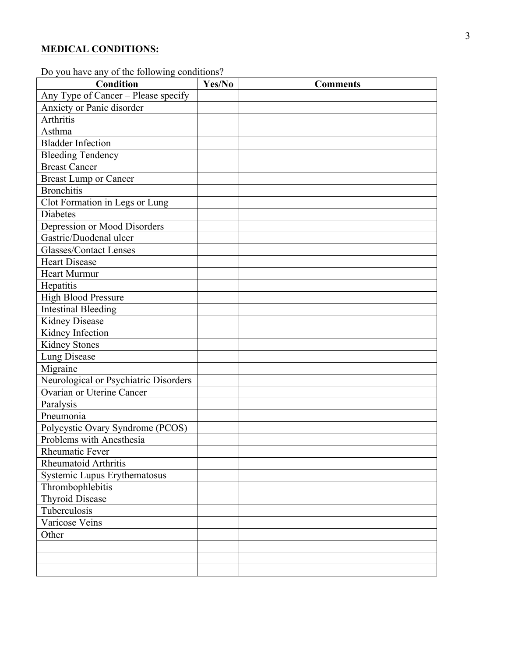#### **MEDICAL CONDITIONS :**

Do you have any of the following conditions?

| be jou not can be not tono wing condition<br><b>Condition</b> | Yes/No | <b>Comments</b> |
|---------------------------------------------------------------|--------|-----------------|
| Any Type of Cancer - Please specify                           |        |                 |
| Anxiety or Panic disorder                                     |        |                 |
| <b>Arthritis</b>                                              |        |                 |
| Asthma                                                        |        |                 |
| <b>Bladder Infection</b>                                      |        |                 |
| <b>Bleeding Tendency</b>                                      |        |                 |
| <b>Breast Cancer</b>                                          |        |                 |
| <b>Breast Lump or Cancer</b>                                  |        |                 |
| <b>Bronchitis</b>                                             |        |                 |
| Clot Formation in Legs or Lung                                |        |                 |
| Diabetes                                                      |        |                 |
| Depression or Mood Disorders                                  |        |                 |
| Gastric/Duodenal ulcer                                        |        |                 |
| <b>Glasses/Contact Lenses</b>                                 |        |                 |
| <b>Heart Disease</b>                                          |        |                 |
| <b>Heart Murmur</b>                                           |        |                 |
| Hepatitis                                                     |        |                 |
| <b>High Blood Pressure</b>                                    |        |                 |
| <b>Intestinal Bleeding</b>                                    |        |                 |
| <b>Kidney Disease</b>                                         |        |                 |
| Kidney Infection                                              |        |                 |
| Kidney Stones                                                 |        |                 |
| Lung Disease                                                  |        |                 |
| Migraine                                                      |        |                 |
| Neurological or Psychiatric Disorders                         |        |                 |
| Ovarian or Uterine Cancer                                     |        |                 |
| Paralysis                                                     |        |                 |
| Pneumonia                                                     |        |                 |
| Polycystic Ovary Syndrome (PCOS)                              |        |                 |
| Problems with Anesthesia                                      |        |                 |
| Rheumatic Fever                                               |        |                 |
| Rheumatoid Arthritis                                          |        |                 |
| Systemic Lupus Erythematosus                                  |        |                 |
| Thrombophlebitis                                              |        |                 |
| <b>Thyroid Disease</b>                                        |        |                 |
| Tuberculosis                                                  |        |                 |
| Varicose Veins                                                |        |                 |
| Other                                                         |        |                 |
|                                                               |        |                 |
|                                                               |        |                 |
|                                                               |        |                 |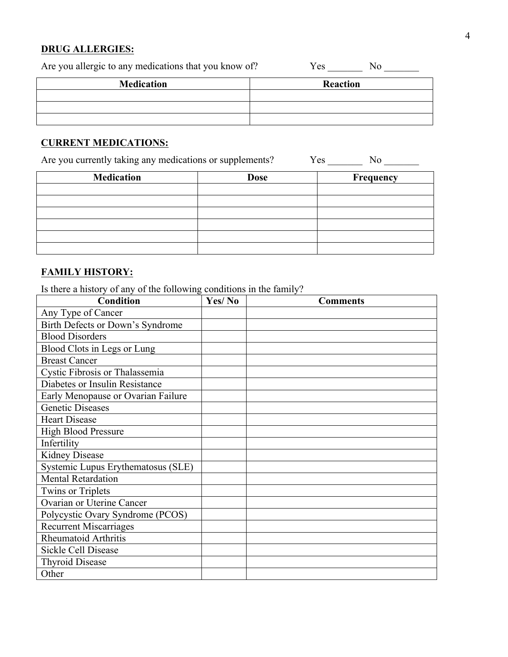#### **DRUG ALLERGIES:**

| Are you allergic to any medications that you know of? | Yes<br>NΩ       |
|-------------------------------------------------------|-----------------|
| <b>Medication</b>                                     | <b>Reaction</b> |
|                                                       |                 |
|                                                       |                 |
|                                                       |                 |

### **CURRENT MEDICATIONS:**

Are you currently taking any medications or supplements? Yes \_\_\_\_\_\_\_\_ No \_\_\_\_\_\_\_

| <b>Medication</b> | <b>Dose</b> | Frequency |
|-------------------|-------------|-----------|
|                   |             |           |
|                   |             |           |
|                   |             |           |
|                   |             |           |
|                   |             |           |
|                   |             |           |

#### **FAMILY HISTORY:**

Is there a history of any of the following conditions in the family?

| <b>Condition</b>                   | Yes/No | <b>Comments</b> |
|------------------------------------|--------|-----------------|
| Any Type of Cancer                 |        |                 |
| Birth Defects or Down's Syndrome   |        |                 |
| <b>Blood Disorders</b>             |        |                 |
| Blood Clots in Legs or Lung        |        |                 |
| <b>Breast Cancer</b>               |        |                 |
| Cystic Fibrosis or Thalassemia     |        |                 |
| Diabetes or Insulin Resistance     |        |                 |
| Early Menopause or Ovarian Failure |        |                 |
| <b>Genetic Diseases</b>            |        |                 |
| <b>Heart Disease</b>               |        |                 |
| <b>High Blood Pressure</b>         |        |                 |
| Infertility                        |        |                 |
| <b>Kidney Disease</b>              |        |                 |
| Systemic Lupus Erythematosus (SLE) |        |                 |
| <b>Mental Retardation</b>          |        |                 |
| <b>Twins or Triplets</b>           |        |                 |
| Ovarian or Uterine Cancer          |        |                 |
| Polycystic Ovary Syndrome (PCOS)   |        |                 |
| <b>Recurrent Miscarriages</b>      |        |                 |
| Rheumatoid Arthritis               |        |                 |
| Sickle Cell Disease                |        |                 |
| <b>Thyroid Disease</b>             |        |                 |
| Other                              |        |                 |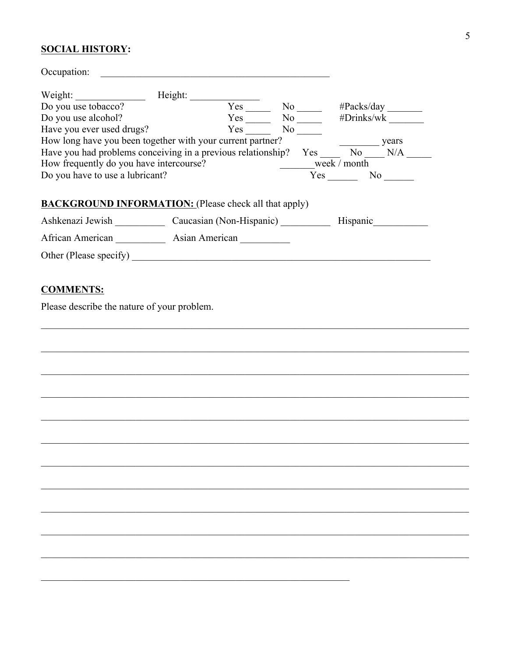#### **SOCIAL HISTORY:**

| Occupation:                                                  |         |                      |                     |
|--------------------------------------------------------------|---------|----------------------|---------------------|
| Weight:                                                      | Height: |                      |                     |
| Do you use tobacco?                                          | Yes     | $No$ <sub>____</sub> | $\#Packs/day$       |
| Do you use alcohol?                                          | Yes     | $No \_$              | #Drinks/wk          |
| Have you ever used drugs?                                    | Yes     | No 1                 |                     |
| How long have you been together with your current partner?   |         |                      | years               |
| Have you had problems conceiving in a previous relationship? |         | Yes                  | No<br>N/A           |
| How frequently do you have intercourse?                      |         |                      | week / month        |
| Do you have to use a lubricant?                              |         |                      | $Yes \t —$<br>No No |
|                                                              |         |                      |                     |
| <b>BACKGROUND INFORMATION:</b> (Please check all that apply) |         |                      |                     |
| Ashkenazi Jewish Caucasian (Non-Hispanic)                    |         |                      | Hispanic            |
| African American                                             |         |                      |                     |
| Other (Please specify)                                       |         |                      |                     |
|                                                              |         |                      |                     |

## **COMMENTS:**

Please describe the nature of your problem.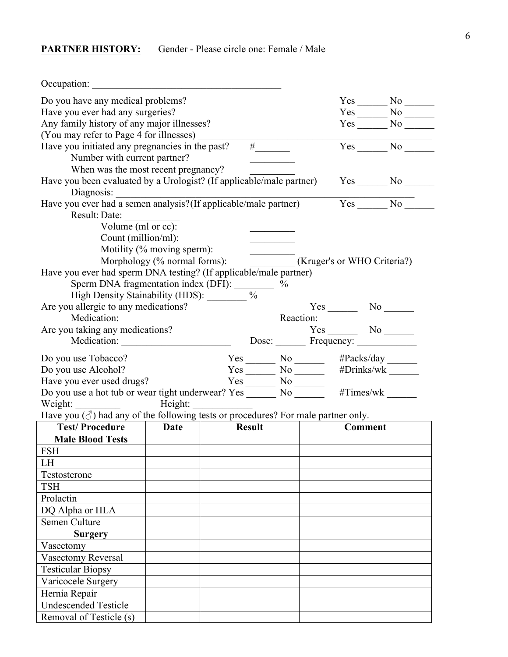## **PARTNER HISTORY:** Gender - Please circle one: Female / Male

Hernia Repair

Undescended Testicle Removal of Testicle (s)

| Occupation:                                                                                                                                                                                                                                                                                                                                                            |                                                          |               |                                     |  |                                                                 |                 |
|------------------------------------------------------------------------------------------------------------------------------------------------------------------------------------------------------------------------------------------------------------------------------------------------------------------------------------------------------------------------|----------------------------------------------------------|---------------|-------------------------------------|--|-----------------------------------------------------------------|-----------------|
| Do you have any medical problems?                                                                                                                                                                                                                                                                                                                                      |                                                          |               |                                     |  |                                                                 |                 |
| Have you ever had any surgeries?                                                                                                                                                                                                                                                                                                                                       |                                                          |               |                                     |  |                                                                 | $Yes$ No $\_\_$ |
| Any family history of any major illnesses?                                                                                                                                                                                                                                                                                                                             |                                                          |               |                                     |  |                                                                 | $Yes \_ No \_$  |
| (You may refer to Page 4 for illnesses) _________                                                                                                                                                                                                                                                                                                                      |                                                          |               |                                     |  |                                                                 |                 |
| Have you initiated any pregnancies in the past?                                                                                                                                                                                                                                                                                                                        |                                                          | Yes No        |                                     |  |                                                                 |                 |
| Number with current partner?                                                                                                                                                                                                                                                                                                                                           |                                                          |               | $\frac{1}{\frac{1}{2}+\frac{1}{2}}$ |  |                                                                 |                 |
| When was the most recent pregnancy?                                                                                                                                                                                                                                                                                                                                    |                                                          |               |                                     |  |                                                                 |                 |
| Have you been evaluated by a Urologist? (If applicable/male partner)                                                                                                                                                                                                                                                                                                   |                                                          |               |                                     |  |                                                                 | $Yes$ No $N$    |
| Diagnosis:                                                                                                                                                                                                                                                                                                                                                             |                                                          |               |                                     |  |                                                                 |                 |
| Have you ever had a semen analysis? (If applicable/male partner)                                                                                                                                                                                                                                                                                                       |                                                          |               |                                     |  |                                                                 | $Yes$ No $\_\_$ |
| Result: Date:                                                                                                                                                                                                                                                                                                                                                          |                                                          |               |                                     |  |                                                                 |                 |
| Volume (ml or cc):                                                                                                                                                                                                                                                                                                                                                     |                                                          |               |                                     |  |                                                                 |                 |
| Count (million/ml):                                                                                                                                                                                                                                                                                                                                                    |                                                          |               |                                     |  |                                                                 |                 |
|                                                                                                                                                                                                                                                                                                                                                                        | Motility (% moving sperm):                               |               |                                     |  |                                                                 |                 |
|                                                                                                                                                                                                                                                                                                                                                                        | Morphology (% normal forms): (Kruger's or WHO Criteria?) |               |                                     |  |                                                                 |                 |
| Have you ever had sperm DNA testing? (If applicable/male partner)                                                                                                                                                                                                                                                                                                      |                                                          |               |                                     |  |                                                                 |                 |
| Sperm DNA fragmentation index (DFI): $\frac{\%}{\%}$ Migh Density Stainability (HDS): $\frac{\%}{\%}$                                                                                                                                                                                                                                                                  |                                                          |               |                                     |  |                                                                 |                 |
| High Density Stainability (HDS): _______                                                                                                                                                                                                                                                                                                                               |                                                          |               |                                     |  |                                                                 |                 |
| Are you allergic to any medications?                                                                                                                                                                                                                                                                                                                                   |                                                          |               |                                     |  | $Yes$ No $N$                                                    |                 |
|                                                                                                                                                                                                                                                                                                                                                                        |                                                          |               |                                     |  | Reaction: Yes No No                                             |                 |
| Are you taking any medications?                                                                                                                                                                                                                                                                                                                                        |                                                          |               |                                     |  |                                                                 |                 |
| Medication:                                                                                                                                                                                                                                                                                                                                                            |                                                          |               |                                     |  |                                                                 |                 |
| Do you use Tobacco?                                                                                                                                                                                                                                                                                                                                                    |                                                          |               |                                     |  | $Yes$ No $HPacks/day$<br>$Yes$ No $HPacks/day$<br>$H$ Drinks/wk |                 |
| Do you use Alcohol?                                                                                                                                                                                                                                                                                                                                                    |                                                          |               |                                     |  |                                                                 |                 |
| Have you ever used drugs?<br>Do you use a hot tub or wear tight underwear? $Yes \_\_\_\_ No \_\_\_\_ HTimes/wk \_\_\_\_ Hrms/wk \_\_\_\_ Hrms/wk \_\_\_\_ Hrms/wk \_\_\_\_ Hrms/wk \_\_\_\_ Hrms/wk \_\_\_\_ Hrms/wk \_\_\_\_ Hrms/wk \_\_\_\_ Hrms/wk \_\_\_\_ Hrms/wk \_\_\_\_ Hrms/wk \_\_\_\_ Hrms/wk \_\_\_\_ Hrms/wk \_\_\_\_ Hrms/wk \_\_\_\_ Hrms/wk \_\_\_\_$ |                                                          |               |                                     |  |                                                                 |                 |
|                                                                                                                                                                                                                                                                                                                                                                        |                                                          |               |                                     |  |                                                                 |                 |
| Weight: Height: Height:                                                                                                                                                                                                                                                                                                                                                |                                                          |               |                                     |  |                                                                 |                 |
| Have you $(\text{d})$ had any of the following tests or procedures? For male partner only.                                                                                                                                                                                                                                                                             |                                                          |               |                                     |  |                                                                 |                 |
| Test/Procedure                                                                                                                                                                                                                                                                                                                                                         | Date                                                     | <b>Result</b> |                                     |  | <b>Comment</b>                                                  |                 |
| <b>Male Blood Tests</b>                                                                                                                                                                                                                                                                                                                                                |                                                          |               |                                     |  |                                                                 |                 |
| <b>FSH</b>                                                                                                                                                                                                                                                                                                                                                             |                                                          |               |                                     |  |                                                                 |                 |
| LH                                                                                                                                                                                                                                                                                                                                                                     |                                                          |               |                                     |  |                                                                 |                 |
| Testosterone                                                                                                                                                                                                                                                                                                                                                           |                                                          |               |                                     |  |                                                                 |                 |
| <b>TSH</b>                                                                                                                                                                                                                                                                                                                                                             |                                                          |               |                                     |  |                                                                 |                 |
| Prolactin                                                                                                                                                                                                                                                                                                                                                              |                                                          |               |                                     |  |                                                                 |                 |
| DQ Alpha or HLA                                                                                                                                                                                                                                                                                                                                                        |                                                          |               |                                     |  |                                                                 |                 |
| Semen Culture                                                                                                                                                                                                                                                                                                                                                          |                                                          |               |                                     |  |                                                                 |                 |
| <b>Surgery</b>                                                                                                                                                                                                                                                                                                                                                         |                                                          |               |                                     |  |                                                                 |                 |
| Vasectomy                                                                                                                                                                                                                                                                                                                                                              |                                                          |               |                                     |  |                                                                 |                 |
| Vasectomy Reversal                                                                                                                                                                                                                                                                                                                                                     |                                                          |               |                                     |  |                                                                 |                 |
| <b>Testicular Biopsy</b>                                                                                                                                                                                                                                                                                                                                               |                                                          |               |                                     |  |                                                                 |                 |
| Varicocele Surgery                                                                                                                                                                                                                                                                                                                                                     |                                                          |               |                                     |  |                                                                 |                 |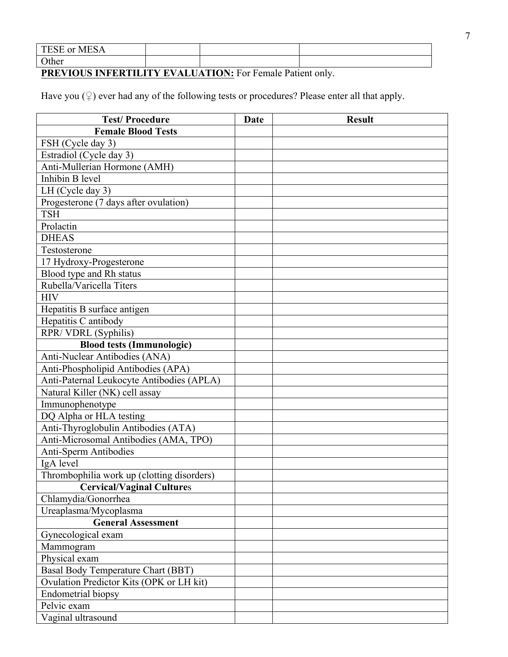| <b>MESA</b><br>TESE or |  |  |
|------------------------|--|--|
| $\Omega$ other         |  |  |

**PREVIOUS INFERTILITY EVALUATION:** For Female Patient only.

Have you  $(\circled{2})$  ever had any of the following tests or procedures? Please enter all that apply.

| <b>Test/Procedure</b>                      | Date | <b>Result</b> |
|--------------------------------------------|------|---------------|
| <b>Female Blood Tests</b>                  |      |               |
| FSH (Cycle day 3)                          |      |               |
| Estradiol (Cycle day 3)                    |      |               |
| Anti-Mullerian Hormone (AMH)               |      |               |
| Inhibin B level                            |      |               |
| LH (Cycle day 3)                           |      |               |
| Progesterone (7 days after ovulation)      |      |               |
| <b>TSH</b>                                 |      |               |
| Prolactin                                  |      |               |
| <b>DHEAS</b>                               |      |               |
| Testosterone                               |      |               |
| 17 Hydroxy-Progesterone                    |      |               |
| Blood type and Rh status                   |      |               |
| Rubella/Varicella Titers                   |      |               |
| <b>HIV</b>                                 |      |               |
| Hepatitis B surface antigen                |      |               |
| Hepatitis C antibody                       |      |               |
| RPR/VDRL (Syphilis)                        |      |               |
| <b>Blood tests (Immunologic)</b>           |      |               |
| Anti-Nuclear Antibodies (ANA)              |      |               |
| Anti-Phospholipid Antibodies (APA)         |      |               |
| Anti-Paternal Leukocyte Antibodies (APLA)  |      |               |
| Natural Killer (NK) cell assay             |      |               |
| Immunophenotype                            |      |               |
| DQ Alpha or HLA testing                    |      |               |
| Anti-Thyroglobulin Antibodies (ATA)        |      |               |
| Anti-Microsomal Antibodies (AMA, TPO)      |      |               |
| <b>Anti-Sperm Antibodies</b>               |      |               |
| IgA level                                  |      |               |
| Thrombophilia work up (clotting disorders) |      |               |
| <b>Cervical/Vaginal Cultures</b>           |      |               |
| Chlamydia/Gonorrhea                        |      |               |
| Ureaplasma/Mycoplasma                      |      |               |
| <b>General Assessment</b>                  |      |               |
| Gynecological exam                         |      |               |
| Mammogram                                  |      |               |
| Physical exam                              |      |               |
| Basal Body Temperature Chart (BBT)         |      |               |
| Ovulation Predictor Kits (OPK or LH kit)   |      |               |
| <b>Endometrial biopsy</b>                  |      |               |
| Pelvic exam                                |      |               |
| Vaginal ultrasound                         |      |               |